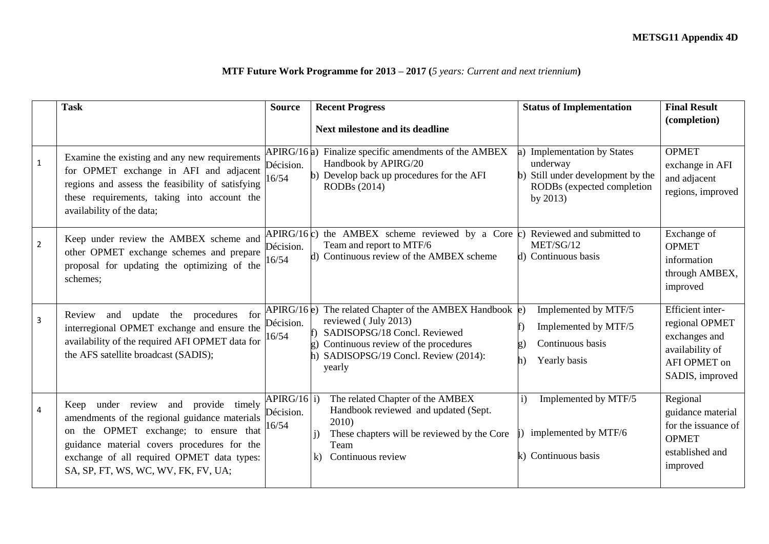## **MTF Future Work Programme for 2013 – 2017 (***5 years: Current and next triennium***)**

|                | <b>Task</b>                                                                                                                                                                                                                                                        | <b>Source</b>                     | <b>Recent Progress</b>                                                                                                                                                                                | <b>Status of Implementation</b>                                                                                          | <b>Final Result</b>                                                                                       |
|----------------|--------------------------------------------------------------------------------------------------------------------------------------------------------------------------------------------------------------------------------------------------------------------|-----------------------------------|-------------------------------------------------------------------------------------------------------------------------------------------------------------------------------------------------------|--------------------------------------------------------------------------------------------------------------------------|-----------------------------------------------------------------------------------------------------------|
|                |                                                                                                                                                                                                                                                                    |                                   | <b>Next milestone and its deadline</b>                                                                                                                                                                |                                                                                                                          | (completion)                                                                                              |
| $\mathbf{1}$   | Examine the existing and any new requirements<br>for OPMET exchange in AFI and adjacent<br>regions and assess the feasibility of satisfying<br>these requirements, taking into account the<br>availability of the data;                                            | APIRG/16a)<br>Décision.<br>16/54  | Finalize specific amendments of the AMBEX<br>Handbook by APIRG/20<br>Develop back up procedures for the AFI<br>$\mathbf{b}$<br>RODBs (2014)                                                           | <b>Implementation by States</b><br>underway<br>Still under development by the<br>RODBs (expected completion<br>by $2013$ | <b>OPMET</b><br>exchange in AFI<br>and adjacent<br>regions, improved                                      |
| $\overline{2}$ | Keep under review the AMBEX scheme and<br>other OPMET exchange schemes and prepare<br>proposal for updating the optimizing of the<br>schemes;                                                                                                                      | Décision.<br>16/54                | APIRG/16 $\epsilon$ ) the AMBEX scheme reviewed by a Core $\epsilon$ )<br>Team and report to MTF/6<br>d) Continuous review of the AMBEX scheme                                                        | Reviewed and submitted to<br>MET/SG/12<br>d) Continuous basis                                                            | Exchange of<br><b>OPMET</b><br>information<br>through AMBEX,<br>improved                                  |
| $\overline{3}$ | update<br>the procedures for<br>and<br>Review<br>interregional OPMET exchange and ensure the<br>availability of the required AFI OPMET data for<br>the AFS satellite broadcast (SADIS);                                                                            | APIRG/16e)<br>Décision.<br>16/54  | The related Chapter of the AMBEX Handbook $\epsilon$ )<br>reviewed (July 2013)<br>SADISOPSG/18 Concl. Reviewed<br>Continuous review of the procedures<br>SADISOPSG/19 Concl. Review (2014):<br>yearly | Implemented by MTF/5<br>Implemented by MTF/5<br>Continuous basis<br>Yearly basis                                         | Efficient inter-<br>regional OPMET<br>exchanges and<br>availability of<br>AFI OPMET on<br>SADIS, improved |
| $\overline{4}$ | Keep under review and provide timely<br>amendments of the regional guidance materials<br>on the OPMET exchange; to ensure that<br>guidance material covers procedures for the<br>exchange of all required OPMET data types:<br>SA, SP, FT, WS, WC, WV, FK, FV, UA; | APIRG/16 i)<br>Décision.<br>16/54 | The related Chapter of the AMBEX<br>Handbook reviewed and updated (Sept.<br>2010)<br>These chapters will be reviewed by the Core<br>Team<br>Continuous review<br>$\bf k$                              | Implemented by MTF/5<br>$\mathbf{i}$<br>implemented by MTF/6<br>k) Continuous basis                                      | Regional<br>guidance material<br>for the issuance of<br><b>OPMET</b><br>established and<br>improved       |